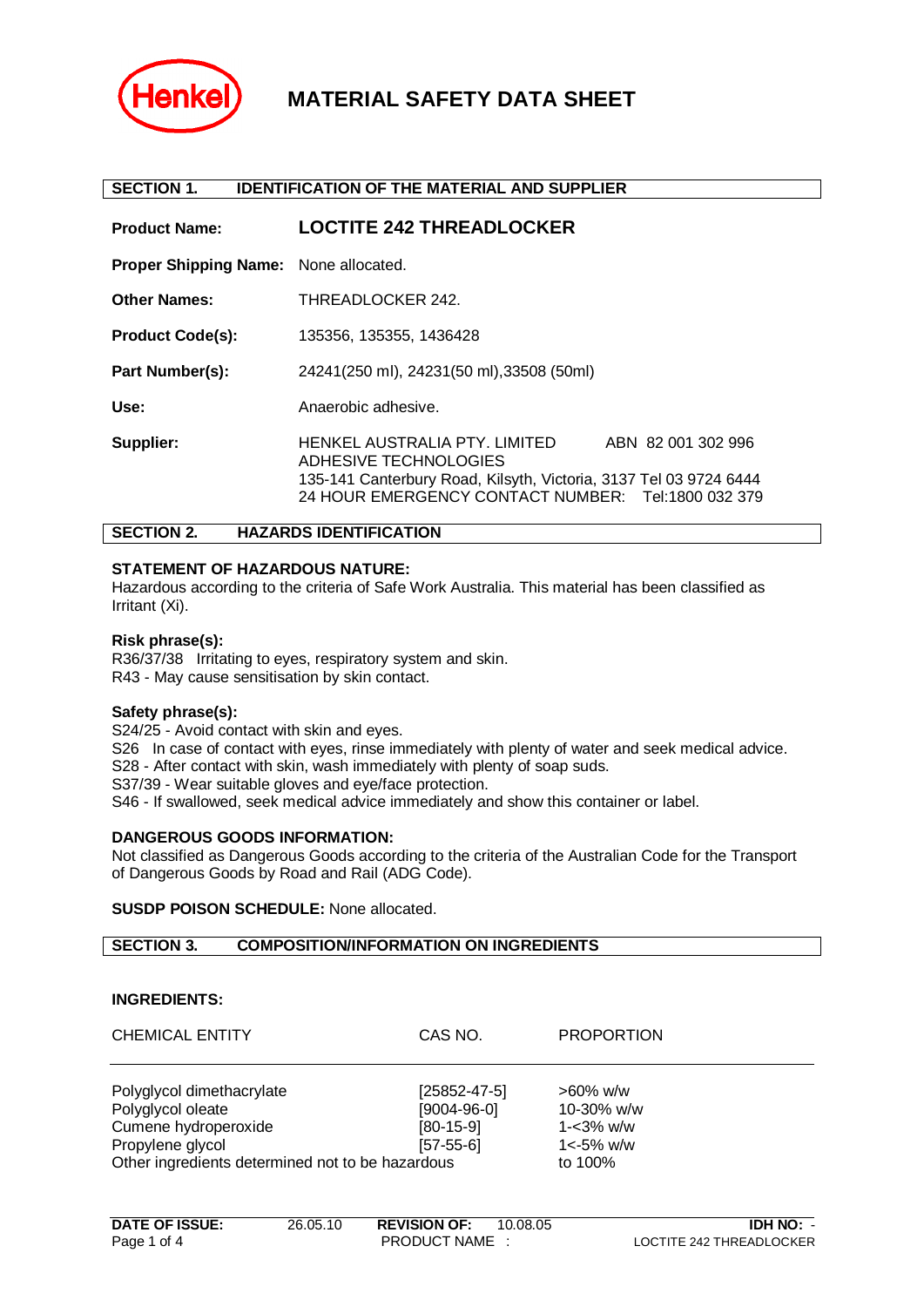

# **MATERIAL SAFETY DATA SHEET**

#### **SECTION 1. IDENTIFICATION OF THE MATERIAL AND SUPPLIER**

| <b>Product Name:</b>                         | <b>LOCTITE 242 THREADLOCKER</b>                                                                                                                                                                         |
|----------------------------------------------|---------------------------------------------------------------------------------------------------------------------------------------------------------------------------------------------------------|
| <b>Proper Shipping Name:</b> None allocated. |                                                                                                                                                                                                         |
| <b>Other Names:</b>                          | THREADLOCKER 242.                                                                                                                                                                                       |
| <b>Product Code(s):</b>                      | 135356, 135355, 1436428                                                                                                                                                                                 |
| Part Number(s):                              | 24241(250 ml), 24231(50 ml), 33508 (50ml)                                                                                                                                                               |
| Use:                                         | Anaerobic adhesive.                                                                                                                                                                                     |
| Supplier:                                    | HENKEL AUSTRALIA PTY. LIMITED<br>ABN 82 001 302 996<br>ADHESIVE TECHNOLOGIES<br>135-141 Canterbury Road, Kilsyth, Victoria, 3137 Tel 03 9724 6444<br>24 HOUR EMERGENCY CONTACT NUMBER: Tel:1800 032 379 |

# **SECTION 2. HAZARDS IDENTIFICATION**

# **STATEMENT OF HAZARDOUS NATURE:**

Hazardous according to the criteria of Safe Work Australia. This material has been classified as Irritant (Xi).

#### **Risk phrase(s):**

R36/37/38 Irritating to eyes, respiratory system and skin. R43 - May cause sensitisation by skin contact.

#### **Safety phrase(s):**

S24/25 - Avoid contact with skin and eyes.

S26 In case of contact with eyes, rinse immediately with plenty of water and seek medical advice. S28 - After contact with skin, wash immediately with plenty of soap suds. S37/39 - Wear suitable gloves and eye/face protection.

S46 - If swallowed, seek medical advice immediately and show this container or label.

#### **DANGEROUS GOODS INFORMATION:**

Not classified as Dangerous Goods according to the criteria of the Australian Code for the Transport of Dangerous Goods by Road and Rail (ADG Code).

# **SUSDP POISON SCHEDULE:** None allocated.

## **SECTION 3. COMPOSITION/INFORMATION ON INGREDIENTS**

#### **INGREDIENTS:**

| <b>CHEMICAL ENTITY</b>                                                                                                                         | CAS NO.                                                           | <b>PROPORTION</b>                                                         |
|------------------------------------------------------------------------------------------------------------------------------------------------|-------------------------------------------------------------------|---------------------------------------------------------------------------|
| Polyglycol dimethacrylate<br>Polyglycol oleate<br>Cumene hydroperoxide<br>Propylene glycol<br>Other ingredients determined not to be hazardous | $[25852 - 47 - 5]$<br>$[9004-96-0]$<br>$[80-15-9]$<br>$[57-55-6]$ | $>60\%$ w/w<br>10-30% $w/w$<br>$1 - 3\%$ w/w<br>$1 < -5\%$ w/w<br>to 100% |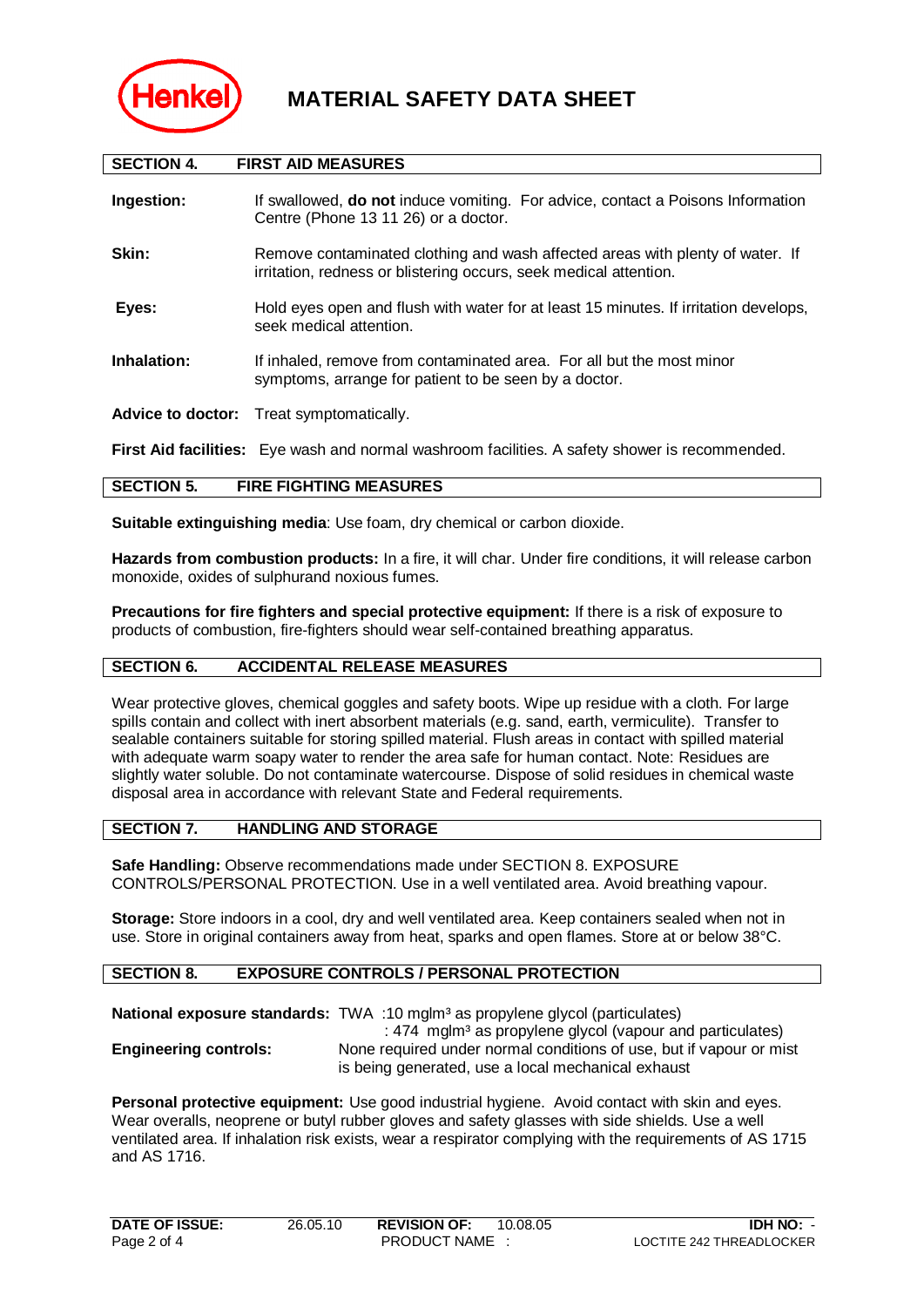

| <b>SECTION 4.</b>                                  | <b>FIRST AID MEASURES</b>                                                                                                                          |  |
|----------------------------------------------------|----------------------------------------------------------------------------------------------------------------------------------------------------|--|
| Ingestion:                                         | If swallowed, <b>do not</b> induce vomiting. For advice, contact a Poisons Information<br>Centre (Phone 13 11 26) or a doctor.                     |  |
| Skin:                                              | Remove contaminated clothing and wash affected areas with plenty of water. If<br>irritation, redness or blistering occurs, seek medical attention. |  |
| Eyes:                                              | Hold eyes open and flush with water for at least 15 minutes. If irritation develops,<br>seek medical attention.                                    |  |
| Inhalation:                                        | If inhaled, remove from contaminated area. For all but the most minor<br>symptoms, arrange for patient to be seen by a doctor.                     |  |
| <b>Advice to doctor:</b>                           | Treat symptomatically.                                                                                                                             |  |
|                                                    | First Aid facilities: Eye wash and normal washroom facilities. A safety shower is recommended.                                                     |  |
| <b>FIRE FIGHTING MEASURES</b><br><b>SECTION 5.</b> |                                                                                                                                                    |  |

**Suitable extinguishing media**: Use foam, dry chemical or carbon dioxide.

**Hazards from combustion products:** In a fire, it will char. Under fire conditions, it will release carbon monoxide, oxides of sulphurand noxious fumes.

**Precautions for fire fighters and special protective equipment:** If there is a risk of exposure to products of combustion, fire-fighters should wear self-contained breathing apparatus.

# **SECTION 6. ACCIDENTAL RELEASE MEASURES**

Wear protective gloves, chemical goggles and safety boots. Wipe up residue with a cloth. For large spills contain and collect with inert absorbent materials (e.g. sand, earth, vermiculite). Transfer to sealable containers suitable for storing spilled material. Flush areas in contact with spilled material with adequate warm soapy water to render the area safe for human contact. Note: Residues are slightly water soluble. Do not contaminate watercourse. Dispose of solid residues in chemical waste disposal area in accordance with relevant State and Federal requirements.

# **SECTION 7. HANDLING AND STORAGE**

**Safe Handling:** Observe recommendations made under SECTION 8. EXPOSURE CONTROLS/PERSONAL PROTECTION. Use in a well ventilated area. Avoid breathing vapour.

**Storage:** Store indoors in a cool, dry and well ventilated area. Keep containers sealed when not in use. Store in original containers away from heat, sparks and open flames. Store at or below 38°C.

# **SECTION 8. EXPOSURE CONTROLS / PERSONAL PROTECTION**

|                              | <b>National exposure standards:</b> TWA :10 mglm <sup>3</sup> as propylene glycol (particulates)                                             |
|------------------------------|----------------------------------------------------------------------------------------------------------------------------------------------|
| <b>Engineering controls:</b> | : 474 mglm <sup>3</sup> as propylene glycol (vapour and particulates)<br>None required under normal conditions of use, but if vapour or mist |
|                              | is being generated, use a local mechanical exhaust                                                                                           |

**Personal protective equipment:** Use good industrial hygiene. Avoid contact with skin and eyes. Wear overalls, neoprene or butyl rubber gloves and safety glasses with side shields. Use a well ventilated area. If inhalation risk exists, wear a respirator complying with the requirements of AS 1715 and AS 1716.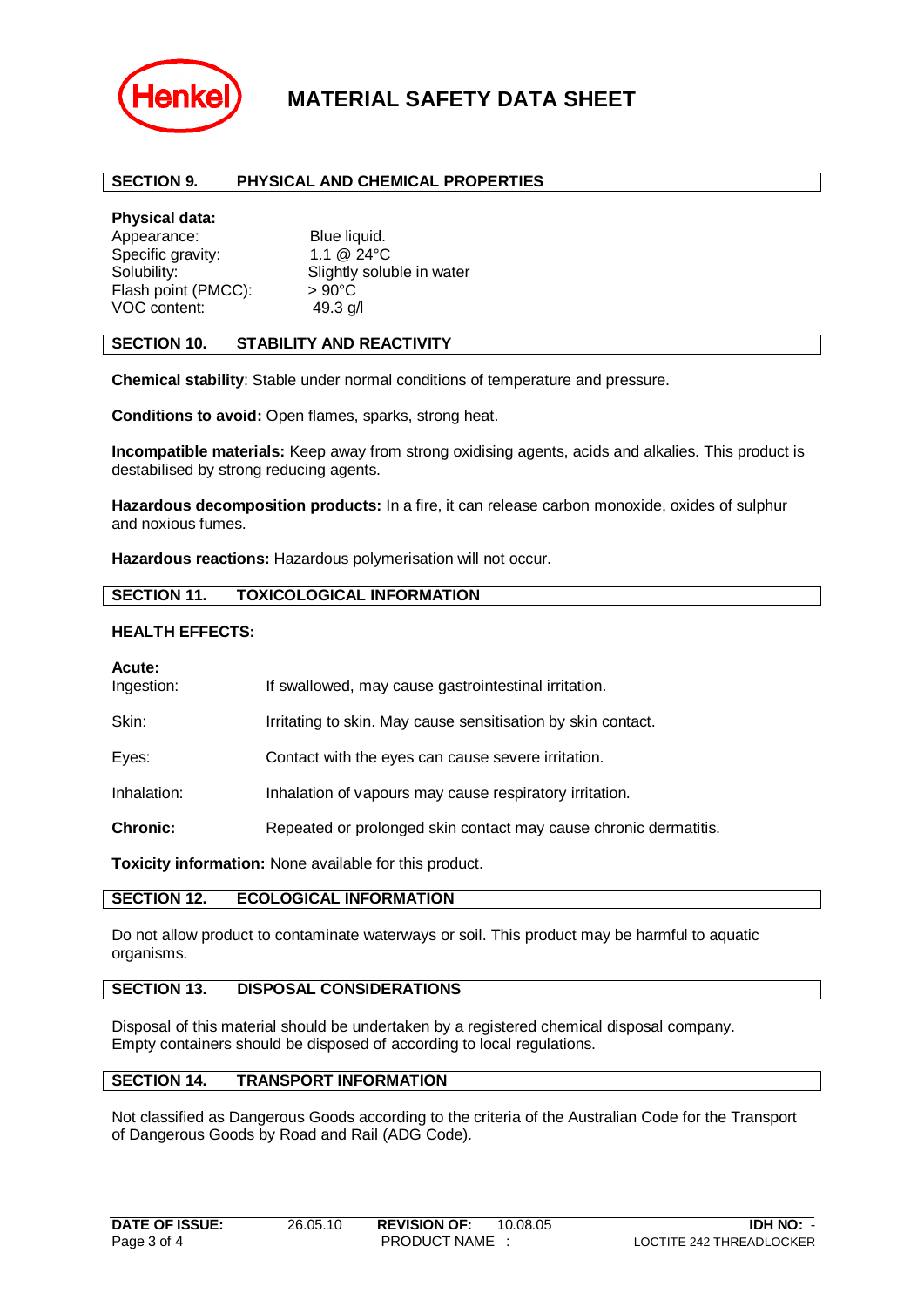

# **MATERIAL SAFETY DATA SHEET**

# **SECTION 9. PHYSICAL AND CHEMICAL PROPERTIES**

#### **Physical data:**

Appearance: Blue liquid. Specific gravity: 1.1 @ 24°C Solubility: Solubility: Slightly soluble in water Flash point (PMCC):  $> 90^{\circ}$ C VOC content: 49.3 g/l

## **SECTION 10. STABILITY AND REACTIVITY**

**Chemical stability**: Stable under normal conditions of temperature and pressure.

**Conditions to avoid:** Open flames, sparks, strong heat.

**Incompatible materials:** Keep away from strong oxidising agents, acids and alkalies. This product is destabilised by strong reducing agents.

**Hazardous decomposition products:** In a fire, it can release carbon monoxide, oxides of sulphur and noxious fumes.

**Hazardous reactions:** Hazardous polymerisation will not occur.

# **SECTION 11. TOXICOLOGICAL INFORMATION**

# **HEALTH EFFECTS:**

#### **Acute:**

| Ingestion:      | If swallowed, may cause gastrointestinal irritation.             |
|-----------------|------------------------------------------------------------------|
| Skin:           | Irritating to skin. May cause sensitisation by skin contact.     |
| Eyes:           | Contact with the eyes can cause severe irritation.               |
| Inhalation:     | Inhalation of vapours may cause respiratory irritation.          |
| <b>Chronic:</b> | Repeated or prolonged skin contact may cause chronic dermatitis. |
|                 |                                                                  |

**Toxicity information:** None available for this product.

# **SECTION 12. ECOLOGICAL INFORMATION**

Do not allow product to contaminate waterways or soil. This product may be harmful to aquatic organisms.

# **SECTION 13. DISPOSAL CONSIDERATIONS**

Disposal of this material should be undertaken by a registered chemical disposal company. Empty containers should be disposed of according to local regulations.

# **SECTION 14. TRANSPORT INFORMATION**

Not classified as Dangerous Goods according to the criteria of the Australian Code for the Transport of Dangerous Goods by Road and Rail (ADG Code).